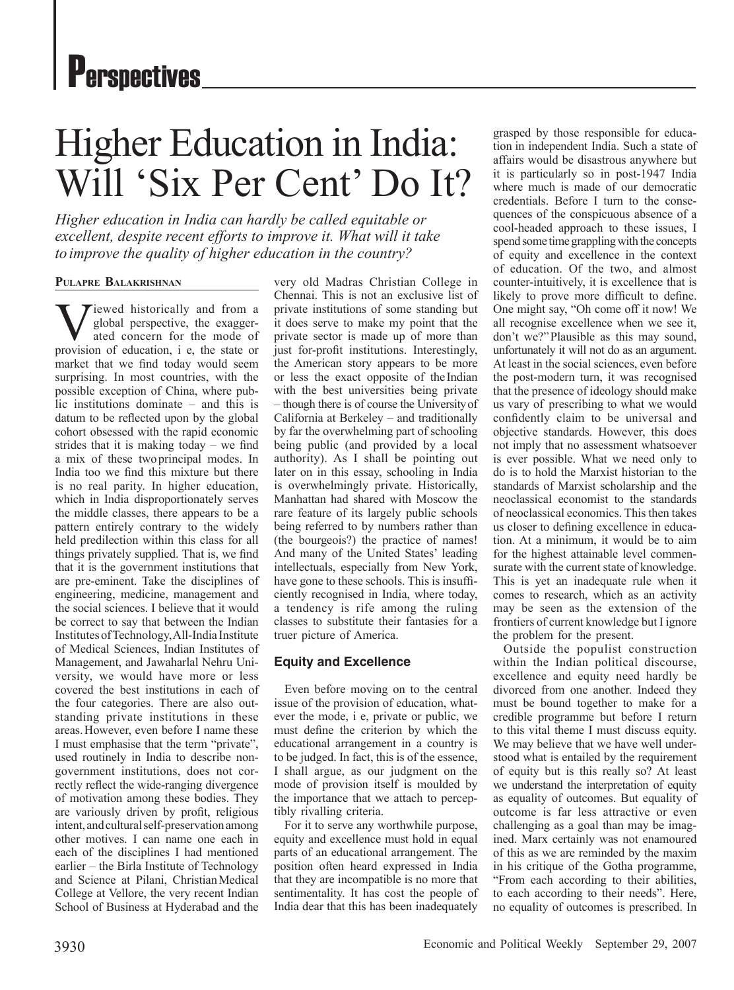# Higher Education in India: Will 'Six Per Cent' Do It?

*Higher education in India can hardly be called equitable or excellent, despite recent efforts to improve it. What will it take to improve the quality of higher education in the country?*

#### **Pulapre Balakrishnan**

Tiewed historically and from a global perspective, the exaggerated concern for the mode of provision of education, i e, the state or market that we find today would seem surprising. In most countries, with the possible exception of China, where public institutions dominate – and this is datum to be reflected upon by the global cohort obsessed with the rapid economic strides that it is making today – we find a mix of these twoprincipal modes. In India too we find this mixture but there is no real parity. In higher education, which in India disproportionately serves the middle classes, there appears to be a pattern entirely contrary to the widely held predilection within this class for all things privately supplied. That is, we find that it is the government institutions that are pre-eminent. Take the disciplines of engineering, medicine, management and the social sciences. I believe that it would be correct to say that between the Indian Institutes of Technology, All-India Institute of Medical Sciences, Indian Institutes of Management, and Jawaharlal Nehru University, we would have more or less covered the best institutions in each of the four categories. There are also outstanding private institutions in these areas.However, even before I name these I must emphasise that the term "private", used routinely in India to describe nongovernment institutions, does not correctly reflect the wide-ranging divergence of motivation among these bodies. They are variously driven by profit, religious intent, and cultural self-preservation among other motives. I can name one each in each of the disciplines I had mentioned earlier – the Birla Institute of Technology and Science at Pilani, ChristianMedical College at Vellore, the very recent Indian School of Business at Hyderabad and the

very old Madras Christian College in Chennai. This is not an exclusive list of private institutions of some standing but it does serve to make my point that the private sector is made up of more than just for-profit institutions. Interestingly, the American story appears to be more or less the exact opposite of the Indian with the best universities being private – though there is of course the Universityof California at Berkeley – and traditionally by far the overwhelming part of schooling being public (and provided by a local authority). As I shall be pointing out later on in this essay, schooling in India is overwhelmingly private. Historically, Manhattan had shared with Moscow the rare feature of its largely public schools being referred to by numbers rather than (the bourgeois?) the practice of names! And many of the United States' leading intellectuals, especially from New York, have gone to these schools. This is insufficiently recognised in India, where today, a tendency is rife among the ruling classes to substitute their fantasies for a truer picture of America.

# **Equity and Excellence**

Even before moving on to the central issue of the provision of education, whatever the mode, i e, private or public, we must define the criterion by which the educational arrangement in a country is to be judged. In fact, this is of the essence, I shall argue, as our judgment on the mode of provision itself is moulded by the importance that we attach to perceptibly rivalling criteria.

For it to serve any worthwhile purpose, equity and excellence must hold in equal parts of an educational arrangement. The position often heard expressed in India that they are incompatible is no more that sentimentality. It has cost the people of India dear that this has been inadequately

grasped by those responsible for education in independent India. Such a state of affairs would be disastrous anywhere but it is particularly so in post-1947 India where much is made of our democratic credentials. Before I turn to the consequences of the conspicuous absence of a cool-headed approach to these issues, I spend some time grappling with the concepts of equity and excellence in the context of education. Of the two, and almost counter-intuitively, it is excellence that is likely to prove more difficult to define. One might say, "Oh come off it now! We all recognise excellence when we see it, don't we?"Plausible as this may sound, unfortunately it will not do as an argument. At least in the social sciences, even before the post-modern turn, it was recognised that the presence of ideology should make us vary of prescribing to what we would confidently claim to be universal and objective standards. However, this does not imply that no assessment whatsoever is ever possible. What we need only to do is to hold the Marxist historian to the standards of Marxist scholarship and the neoclassical economist to the standards of neoclassical economics. This then takes us closer to defining excellence in education. At a minimum, it would be to aim for the highest attainable level commensurate with the current state of knowledge. This is yet an inadequate rule when it comes to research, which as an activity may be seen as the extension of the frontiers of current knowledge but I ignore the problem for the present.

Outside the populist construction within the Indian political discourse, excellence and equity need hardly be divorced from one another. Indeed they must be bound together to make for a credible programme but before I return to this vital theme I must discuss equity. We may believe that we have well understood what is entailed by the requirement of equity but is this really so? At least we understand the interpretation of equity as equality of outcomes. But equality of outcome is far less attractive or even challenging as a goal than may be imagined. Marx certainly was not enamoured of this as we are reminded by the maxim in his critique of the Gotha programme, "From each according to their abilities, to each according to their needs". Here, no equality of outcomes is prescribed. In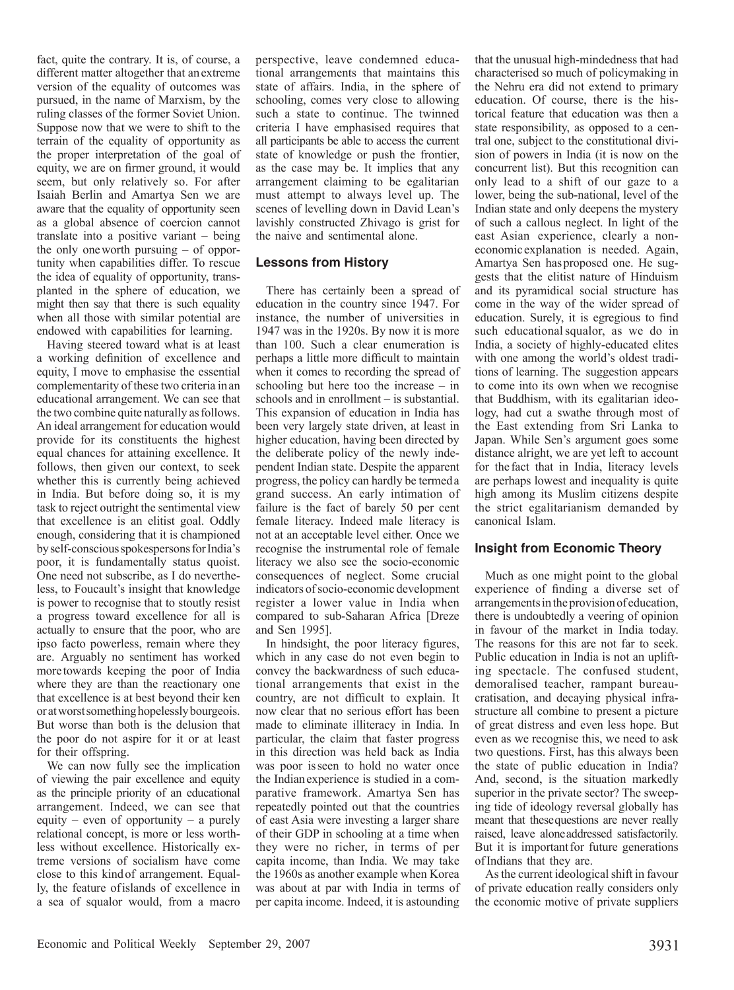fact, quite the contrary. It is, of course, a different matter altogether that anextreme version of the equality of outcomes was pursued, in the name of Marxism, by the ruling classes of the former Soviet Union. Suppose now that we were to shift to the terrain of the equality of opportunity as the proper interpretation of the goal of equity, we are on firmer ground, it would seem, but only relatively so. For after Isaiah Berlin and Amartya Sen we are aware that the equality of opportunity seen as a global absence of coercion cannot translate into a positive variant – being the only oneworth pursuing – of opportunity when capabilities differ. To rescue the idea of equality of opportunity, transplanted in the sphere of education, we might then say that there is such equality when all those with similar potential are endowed with capabilities for learning.

Having steered toward what is at least a working definition of excellence and equity, I move to emphasise the essential complementarity of these two criteria inan educational arrangement. We can see that the two combine quite naturally asfollows. An ideal arrangement for education would provide for its constituents the highest equal chances for attaining excellence. It follows, then given our context, to seek whether this is currently being achieved in India. But before doing so, it is my task to reject outright the sentimental view that excellence is an elitist goal. Oddly enough, considering that it is championed by self-conscious spokespersons for India's poor, it is fundamentally status quoist. One need not subscribe, as I do nevertheless, to Foucault's insight that knowledge is power to recognise that to stoutly resist a progress toward excellence for all is actually to ensure that the poor, who are ipso facto powerless, remain where they are. Arguably no sentiment has worked more towards keeping the poor of India where they are than the reactionary one that excellence is at best beyond their ken or at worst something hopelessly bourgeois. But worse than both is the delusion that the poor do not aspire for it or at least for their offspring.

We can now fully see the implication of viewing the pair excellence and equity as the principle priority of an educational arrangement. Indeed, we can see that equity – even of opportunity – a purely relational concept, is more or less worthless without excellence. Historically extreme versions of socialism have come close to this kindof arrangement. Equally, the feature ofislands of excellence in a sea of squalor would, from a macro

perspective, leave condemned educational arrangements that maintains this state of affairs. India, in the sphere of schooling, comes very close to allowing such a state to continue. The twinned criteria I have emphasised requires that all participants be able to access the current state of knowledge or push the frontier, as the case may be. It implies that any arrangement claiming to be egalitarian must attempt to always level up. The scenes of levelling down in David Lean's lavishly constructed Zhivago is grist for the naive and sentimental alone.

#### **Lessons from History**

There has certainly been a spread of education in the country since 1947. For instance, the number of universities in 1947 was in the 1920s. By now it is more than 100. Such a clear enumeration is perhaps a little more difficult to maintain when it comes to recording the spread of schooling but here too the increase – in schools and in enrollment – is substantial. This expansion of education in India has been very largely state driven, at least in higher education, having been directed by the deliberate policy of the newly independent Indian state. Despite the apparent progress, the policy can hardly be termeda grand success. An early intimation of failure is the fact of barely 50 per cent female literacy. Indeed male literacy is not at an acceptable level either. Once we recognise the instrumental role of female literacy we also see the socio-economic consequences of neglect. Some crucial indicators of socio-economic development register a lower value in India when compared to sub-Saharan Africa [Dreze and Sen 1995].

In hindsight, the poor literacy figures, which in any case do not even begin to convey the backwardness of such educational arrangements that exist in the country, are not difficult to explain. It now clear that no serious effort has been made to eliminate illiteracy in India. In particular, the claim that faster progress in this direction was held back as India was poor isseen to hold no water once the Indianexperience is studied in a comparative framework. Amartya Sen has repeatedly pointed out that the countries of east Asia were investing a larger share of their GDP in schooling at a time when they were no richer, in terms of per capita income, than India. We may take the 1960s as another example when Korea was about at par with India in terms of per capita income. Indeed, it is astounding

that the unusual high-mindedness that had characterised so much of policymaking in the Nehru era did not extend to primary education. Of course, there is the historical feature that education was then a state responsibility, as opposed to a central one, subject to the constitutional division of powers in India (it is now on the concurrent list). But this recognition can only lead to a shift of our gaze to a lower, being the sub-national, level of the Indian state and only deepens the mystery of such a callous neglect. In light of the east Asian experience, clearly a noneconomic explanation is needed. Again, Amartya Sen hasproposed one. He suggests that the elitist nature of Hinduism and its pyramidical social structure has come in the way of the wider spread of education. Surely, it is egregious to find such educationalsqualor, as we do in India, a society of highly-educated elites with one among the world's oldest traditions of learning. The suggestion appears to come into its own when we recognise that Buddhism, with its egalitarian ideology, had cut a swathe through most of the East extending from Sri Lanka to Japan. While Sen's argument goes some distance alright, we are yet left to account for the fact that in India, literacy levels are perhaps lowest and inequality is quite high among its Muslim citizens despite the strict egalitarianism demanded by canonical Islam.

#### **Insight from Economic Theory**

Much as one might point to the global experience of finding a diverse set of arrangements in the provision of education, there is undoubtedly a veering of opinion in favour of the market in India today. The reasons for this are not far to seek. Public education in India is not an uplifting spectacle. The confused student, demoralised teacher, rampant bureaucratisation, and decaying physical infrastructure all combine to present a picture of great distress and even less hope. But even as we recognise this, we need to ask two questions. First, has this always been the state of public education in India? And, second, is the situation markedly superior in the private sector? The sweeping tide of ideology reversal globally has meant that thesequestions are never really raised, leave aloneaddressed satisfactorily. But it is importantfor future generations ofIndians that they are.

As the current ideological shift in favour of private education really considers only the economic motive of private suppliers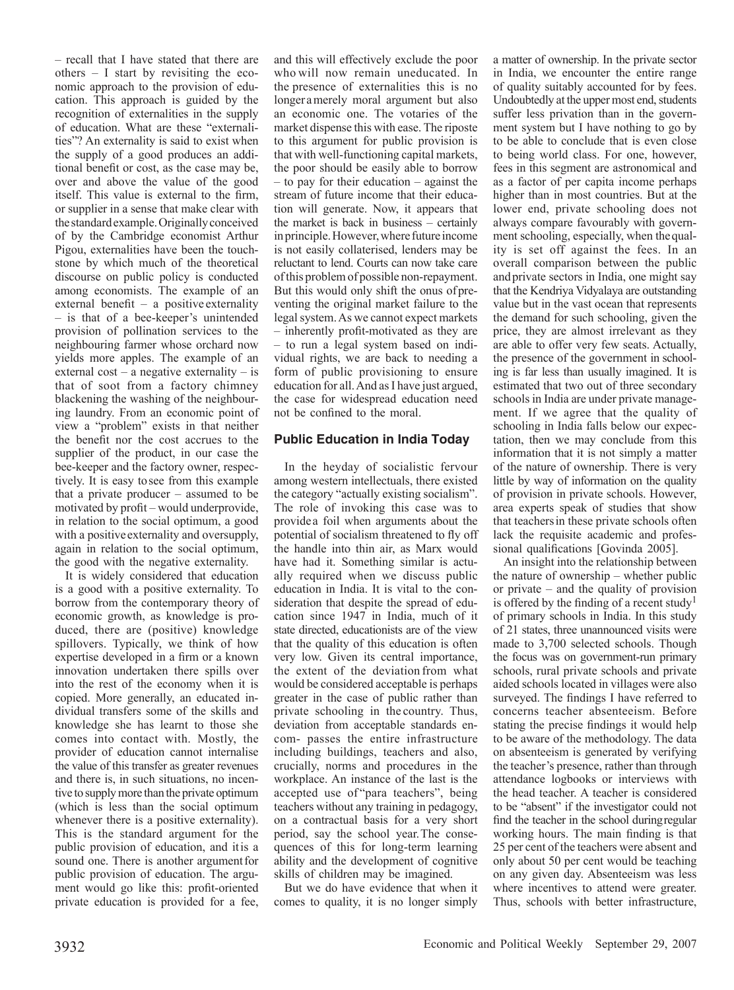– recall that I have stated that there are others – I start by revisiting the economic approach to the provision of education. This approach is guided by the recognition of externalities in the supply of education. What are these "externalities"? An externality is said to exist when the supply of a good produces an additional benefit or cost, as the case may be, over and above the value of the good itself. This value is external to the firm, or supplier in a sense that make clear with the standard example. Originally conceived of by the Cambridge economist Arthur Pigou, externalities have been the touchstone by which much of the theoretical discourse on public policy is conducted among economists. The example of an external benefit – a positive externality – is that of a bee-keeper's unintended provision of pollination services to the neighbouring farmer whose orchard now yields more apples. The example of an external  $cost - a$  negative externality  $-$  is that of soot from a factory chimney blackening the washing of the neighbouring laundry. From an economic point of view a "problem" exists in that neither the benefit nor the cost accrues to the supplier of the product, in our case the bee-keeper and the factory owner, respectively. It is easy tosee from this example that a private producer – assumed to be motivated by profit – would underprovide, in relation to the social optimum, a good with a positive externality and oversupply, again in relation to the social optimum, the good with the negative externality.

It is widely considered that education is a good with a positive externality. To borrow from the contemporary theory of economic growth, as knowledge is produced, there are (positive) knowledge spillovers. Typically, we think of how expertise developed in a firm or a known innovation undertaken there spills over into the rest of the economy when it is copied. More generally, an educated individual transfers some of the skills and knowledge she has learnt to those she comes into contact with. Mostly, the provider of education cannot internalise the value of this transfer as greater revenues and there is, in such situations, no incentive to supply more than the private optimum (which is less than the social optimum whenever there is a positive externality). This is the standard argument for the public provision of education, and itis a sound one. There is another argument for public provision of education. The argument would go like this: profit-oriented private education is provided for a fee,

and this will effectively exclude the poor who will now remain uneducated. In the presence of externalities this is no longer amerely moral argument but also an economic one. The votaries of the market dispense this with ease. The riposte to this argument for public provision is that with well-functioning capital markets, the poor should be easily able to borrow – to pay for their education – against the stream of future income that their education will generate. Now, it appears that the market is back in business – certainly in principle. However, where future income is not easily collaterised, lenders may be reluctant to lend. Courts can now take care of this problem of possible non-repayment. But this would only shift the onus ofpreventing the original market failure to the legal system. As we cannot expect markets – inherently profit-motivated as they are – to run a legal system based on individual rights, we are back to needing a form of public provisioning to ensure education for all. And as I have just argued, the case for widespread education need not be confined to the moral.

# **Public Education in India Today**

In the heyday of socialistic fervour among western intellectuals, there existed the category "actually existing socialism". The role of invoking this case was to provide a foil when arguments about the potential of socialism threatened to fly off the handle into thin air, as Marx would have had it. Something similar is actually required when we discuss public education in India. It is vital to the consideration that despite the spread of education since 1947 in India, much of it state directed, educationists are of the view that the quality of this education is often very low. Given its central importance, the extent of the deviation from what would be considered acceptable is perhaps greater in the case of public rather than private schooling in the country. Thus, deviation from acceptable standards encom- passes the entire infrastructure including buildings, teachers and also, crucially, norms and procedures in the workplace. An instance of the last is the accepted use of "para teachers", being teachers without any training in pedagogy, on a contractual basis for a very short period, say the school year.The consequences of this for long-term learning ability and the development of cognitive skills of children may be imagined.

But we do have evidence that when it comes to quality, it is no longer simply a matter of ownership. In the private sector in India, we encounter the entire range of quality suitably accounted for by fees. Undoubtedly at the upper most end, students suffer less privation than in the government system but I have nothing to go by to be able to conclude that is even close to being world class. For one, however, fees in this segment are astronomical and as a factor of per capita income perhaps higher than in most countries. But at the lower end, private schooling does not always compare favourably with government schooling, especially, when thequality is set off against the fees. In an overall comparison between the public andprivate sectors in India, one might say that the Kendriya Vidyalaya are outstanding value but in the vast ocean that represents the demand for such schooling, given the price, they are almost irrelevant as they are able to offer very few seats. Actually, the presence of the government in schooling is far less than usually imagined. It is estimated that two out of three secondary schools in India are under private management. If we agree that the quality of schooling in India falls below our expectation, then we may conclude from this information that it is not simply a matter of the nature of ownership. There is very little by way of information on the quality of provision in private schools. However, area experts speak of studies that show that teachersin these private schools often lack the requisite academic and professional qualifications [Govinda 2005].

An insight into the relationship between the nature of ownership – whether public or private – and the quality of provision is offered by the finding of a recent study<sup>1</sup> of primary schools in India. In this study of 21 states, three unannounced visits were made to 3,700 selected schools. Though the focus was on government-run primary schools, rural private schools and private aided schools located in villages were also surveyed. The findings I have referred to concerns teacher absenteeism. Before stating the precise findings it would help to be aware of the methodology. The data on absenteeism is generated by verifying the teacher's presence, rather than through attendance logbooks or interviews with the head teacher. A teacher is considered to be "absent" if the investigator could not find the teacher in the school duringregular working hours. The main finding is that 25 per cent of the teachers were absent and only about 50 per cent would be teaching on any given day. Absenteeism was less where incentives to attend were greater. Thus, schools with better infrastructure,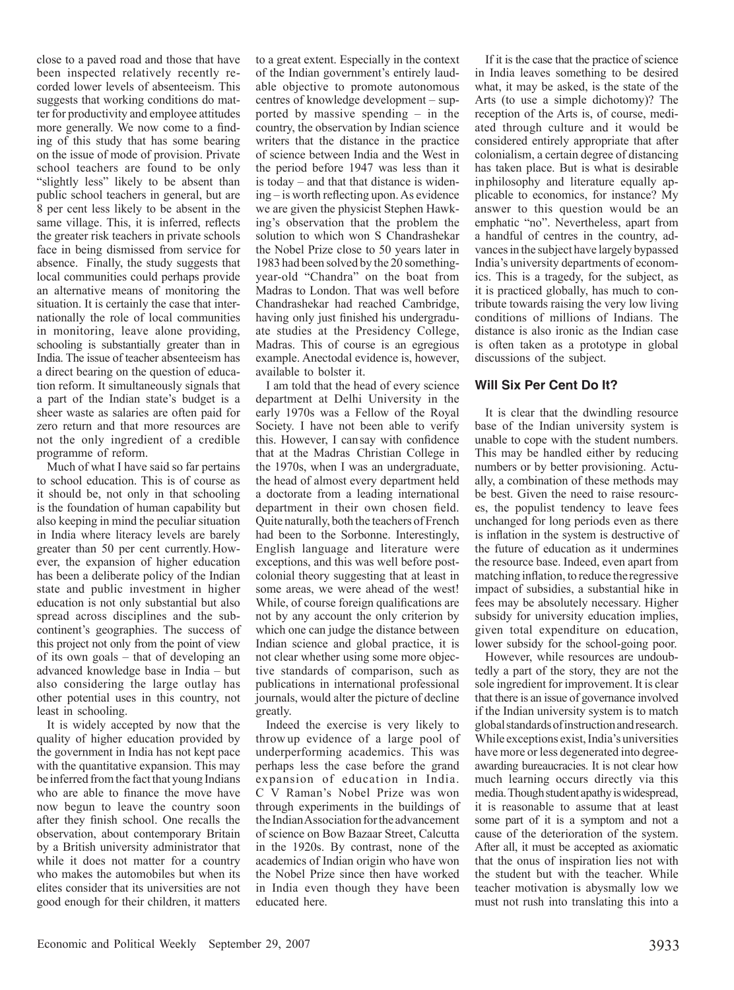close to a paved road and those that have been inspected relatively recently recorded lower levels of absenteeism. This suggests that working conditions do matter for productivity and employee attitudes more generally. We now come to a finding of this study that has some bearing on the issue of mode of provision. Private school teachers are found to be only "slightly less" likely to be absent than public school teachers in general, but are 8 per cent less likely to be absent in the same village. This, it is inferred, reflects the greater risk teachers in private schools face in being dismissed from service for absence. Finally, the study suggests that local communities could perhaps provide an alternative means of monitoring the situation. It is certainly the case that internationally the role of local communities in monitoring, leave alone providing, schooling is substantially greater than in India. The issue of teacher absenteeism has a direct bearing on the question of education reform. It simultaneously signals that a part of the Indian state's budget is a sheer waste as salaries are often paid for zero return and that more resources are not the only ingredient of a credible programme of reform.

Much of what I have said so far pertains to school education. This is of course as it should be, not only in that schooling is the foundation of human capability but also keeping in mind the peculiar situation in India where literacy levels are barely greater than 50 per cent currently.However, the expansion of higher education has been a deliberate policy of the Indian state and public investment in higher education is not only substantial but also spread across disciplines and the subcontinent's geographies. The success of this project not only from the point of view of its own goals – that of developing an advanced knowledge base in India – but also considering the large outlay has other potential uses in this country, not least in schooling.

It is widely accepted by now that the quality of higher education provided by the government in India has not kept pace with the quantitative expansion. This may be inferred from the fact that young Indians who are able to finance the move have now begun to leave the country soon after they finish school. One recalls the observation, about contemporary Britain by a British university administrator that while it does not matter for a country who makes the automobiles but when its elites consider that its universities are not good enough for their children, it matters

to a great extent. Especially in the context of the Indian government's entirely laudable objective to promote autonomous centres of knowledge development – supported by massive spending – in the country, the observation by Indian science writers that the distance in the practice of science between India and the West in the period before 1947 was less than it is today – and that that distance is widening – is worth reflecting upon. As evidence we are given the physicist Stephen Hawking's observation that the problem the solution to which won S Chandrashekar the Nobel Prize close to 50 years later in 1983 had been solved by the 20 somethingyear-old "Chandra" on the boat from Madras to London. That was well before Chandrashekar had reached Cambridge, having only just finished his undergraduate studies at the Presidency College, Madras. This of course is an egregious example. Anectodal evidence is, however, available to bolster it.

I am told that the head of every science department at Delhi University in the early 1970s was a Fellow of the Royal Society. I have not been able to verify this. However, I cansay with confidence that at the Madras Christian College in the 1970s, when I was an undergraduate, the head of almost every department held a doctorate from a leading international department in their own chosen field. Quite naturally, both the teachers of French had been to the Sorbonne. Interestingly, English language and literature were exceptions, and this was well before postcolonial theory suggesting that at least in some areas, we were ahead of the west! While, of course foreign qualifications are not by any account the only criterion by which one can judge the distance between Indian science and global practice, it is not clear whether using some more objective standards of comparison, such as publications in international professional journals, would alter the picture of decline greatly.

Indeed the exercise is very likely to throw up evidence of a large pool of underperforming academics. This was perhaps less the case before the grand expansion of education in India. C V Raman's Nobel Prize was won through experiments in the buildings of the Indian Association for the advancement of science on Bow Bazaar Street, Calcutta in the 1920s. By contrast, none of the academics of Indian origin who have won the Nobel Prize since then have worked in India even though they have been educated here.

If it is the case that the practice of science in India leaves something to be desired what, it may be asked, is the state of the Arts (to use a simple dichotomy)? The reception of the Arts is, of course, mediated through culture and it would be considered entirely appropriate that after colonialism, a certain degree of distancing has taken place. But is what is desirable inphilosophy and literature equally applicable to economics, for instance? My answer to this question would be an emphatic "no". Nevertheless, apart from a handful of centres in the country, advances in the subject have largely bypassed India's university departments of economics. This is a tragedy, for the subject, as it is practiced globally, has much to contribute towards raising the very low living conditions of millions of Indians. The distance is also ironic as the Indian case is often taken as a prototype in global discussions of the subject.

#### **Will Six Per Cent Do It?**

It is clear that the dwindling resource base of the Indian university system is unable to cope with the student numbers. This may be handled either by reducing numbers or by better provisioning. Actually, a combination of these methods may be best. Given the need to raise resources, the populist tendency to leave fees unchanged for long periods even as there is inflation in the system is destructive of the future of education as it undermines the resource base. Indeed, even apart from matching inflation, to reduce the regressive impact of subsidies, a substantial hike in fees may be absolutely necessary. Higher subsidy for university education implies, given total expenditure on education, lower subsidy for the school-going poor.

However, while resources are undoubtedly a part of the story, they are not the sole ingredient for improvement. It is clear that there is an issue of governance involved if the Indian university system is to match global standards of instruction and research. While exceptions exist, India's universities have more or less degenerated into degreeawarding bureaucracies. It is not clear how much learning occurs directly via this media. Though student apathy is widespread, it is reasonable to assume that at least some part of it is a symptom and not a cause of the deterioration of the system. After all, it must be accepted as axiomatic that the onus of inspiration lies not with the student but with the teacher. While teacher motivation is abysmally low we must not rush into translating this into a